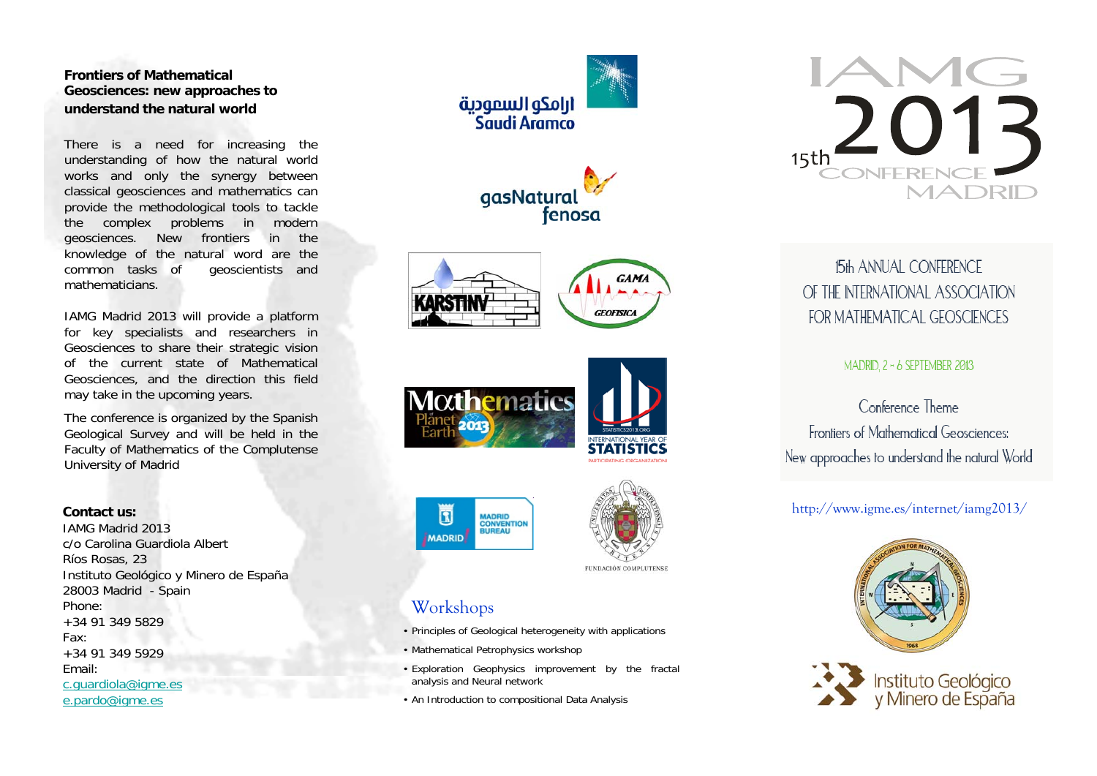### **Frontiers of Mathematical Geosciences: new approaches to understand the natural world**

There is a need for increasing the understanding of how the natural world works and only the synergy between classical geosciences and mathematics can provide the methodological tools to tackle the complex problems in modern geosciences. New frontiers in the knowledge of the natural word are the common tasks of geoscientists and mathematicians.

IAMG Madrid 2013 will provide a platform for key specialists and researchers in Geosciences to share their strategic vision of the current state of Mathematical Geosciences, and the direction this field may take in the upcoming years.

The conference is organized by the Spanish Geological Survey and will be held in the Faculty of Mathematics of the Complutense University of Madrid

#### **Contact us:**

IAMG Madrid 2013c/o Carolina Guardiola Albert Ríos Rosas, 23 Instituto Geológico y Minero de España 28003 Madrid - Spain Phone:+34 91 349 5829Fax: +34 91 349 5929Email:c.guardiola@igme.es e.pardo@igme.es













FUNDACIÓN COMPLUTENSE

## Workshops

同

**MADRID** 

- Principles of Geological heterogeneity with applications
- Mathematical Petrophysics workshop
- Exploration Geophysics improvement by the fractal analysis and Neural network
- An Introduction to compositional Data Analysis



# 15th ANNUAL CONFERENCE OF THE INTERNATIONAL ASSOCIATION FOR MATHEMATICAL GEOSCIENCES

### MADRID  $2 - 6$  SEPTEMBER 2013

# Conference Theme Frontiers of Mathematical Geosciences: New approaches to understand the natural World

### http://www.igme.es/internet/iamg2013/